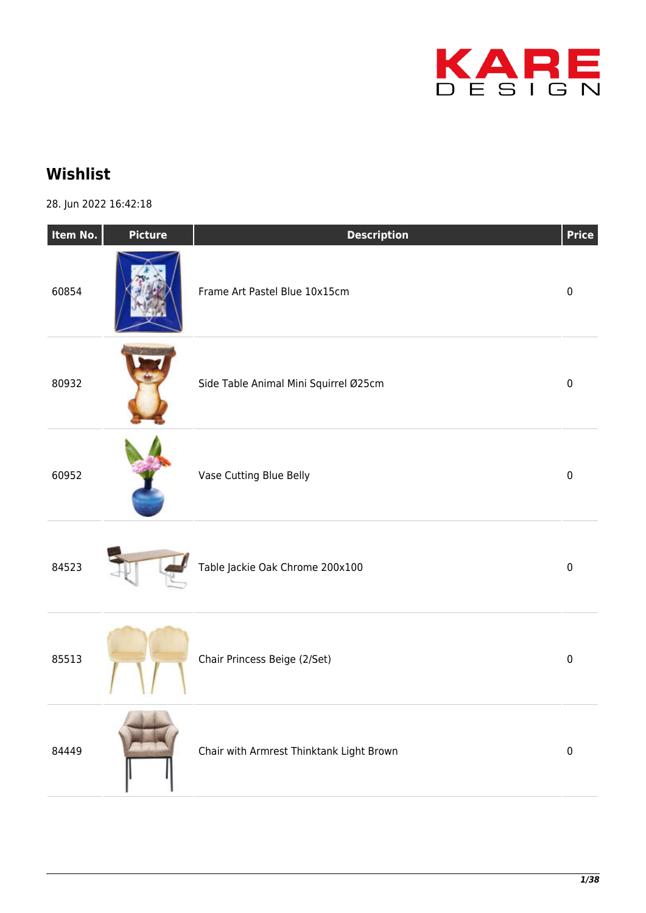

## **Wishlist**

28. Jun 2022 16:42:18

| Item No. | <b>Picture</b> | <b>Description</b>                       | <b>Price</b> |
|----------|----------------|------------------------------------------|--------------|
| 60854    |                | Frame Art Pastel Blue 10x15cm            | $\pmb{0}$    |
| 80932    |                | Side Table Animal Mini Squirrel Ø25cm    | $\pmb{0}$    |
| 60952    |                | Vase Cutting Blue Belly                  | $\pmb{0}$    |
| 84523    |                | Table Jackie Oak Chrome 200x100          | $\pmb{0}$    |
| 85513    |                | Chair Princess Beige (2/Set)             | $\pmb{0}$    |
| 84449    |                | Chair with Armrest Thinktank Light Brown | $\pmb{0}$    |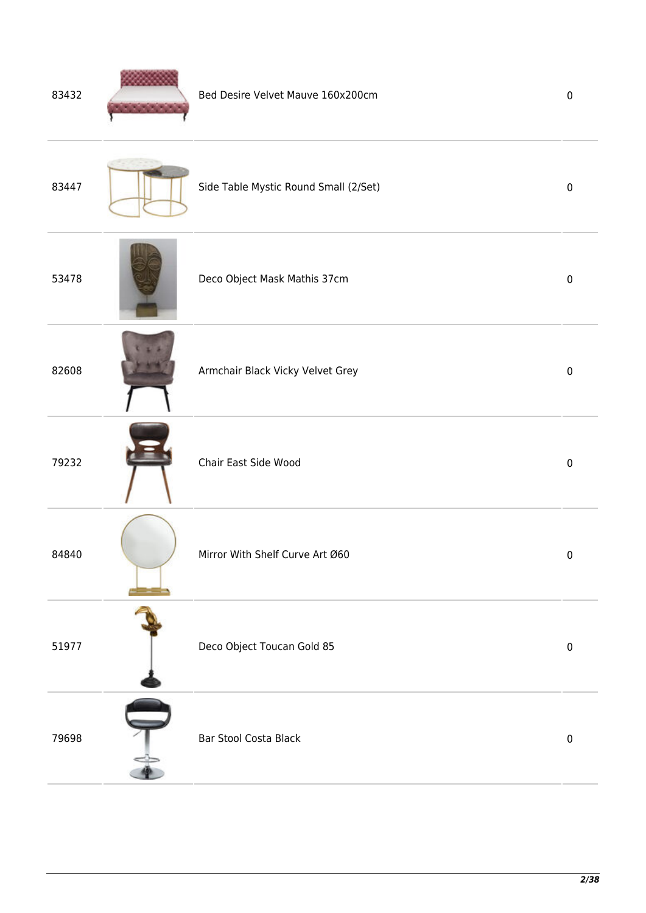| 83432 |               | Bed Desire Velvet Mauve 160x200cm     | $\pmb{0}$ |
|-------|---------------|---------------------------------------|-----------|
| 83447 |               | Side Table Mystic Round Small (2/Set) | $\pmb{0}$ |
| 53478 |               | Deco Object Mask Mathis 37cm          | $\pmb{0}$ |
| 82608 |               | Armchair Black Vicky Velvet Grey      | $\pmb{0}$ |
| 79232 |               | Chair East Side Wood                  | $\pmb{0}$ |
| 84840 |               | Mirror With Shelf Curve Art Ø60       | $\pmb{0}$ |
| 51977 |               | Deco Object Toucan Gold 85            | $\pmb{0}$ |
| 79698 | $\rightarrow$ | Bar Stool Costa Black                 | $\pmb{0}$ |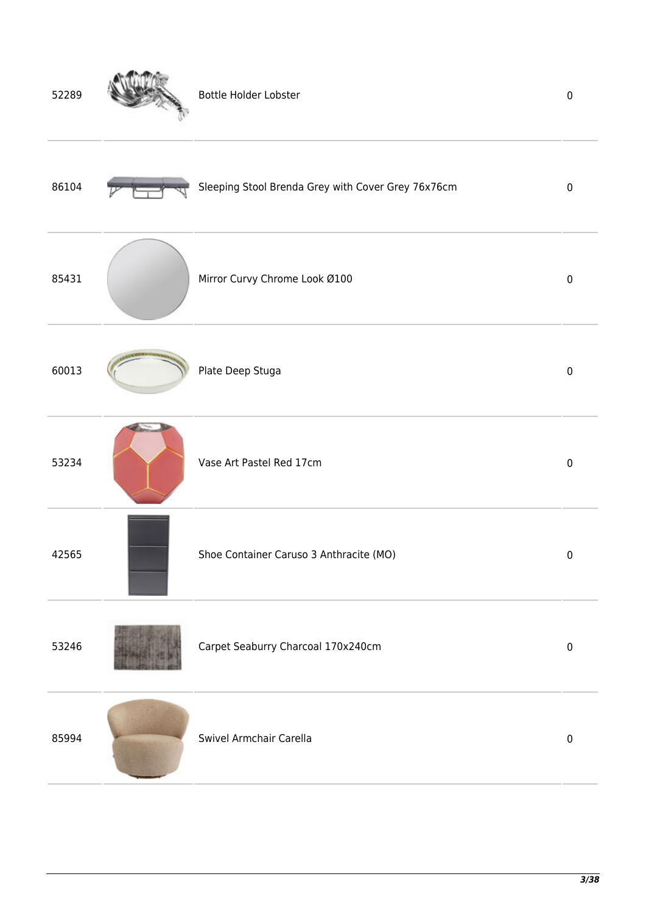| 52289 | Bottle Holder Lobster                              | $\pmb{0}$ |
|-------|----------------------------------------------------|-----------|
| 86104 | Sleeping Stool Brenda Grey with Cover Grey 76x76cm | $\pmb{0}$ |
| 85431 | Mirror Curvy Chrome Look Ø100                      | $\pmb{0}$ |
| 60013 | Plate Deep Stuga                                   | $\pmb{0}$ |
| 53234 | Vase Art Pastel Red 17cm                           | $\pmb{0}$ |
| 42565 | Shoe Container Caruso 3 Anthracite (MO)            | $\pmb{0}$ |
| 53246 | Carpet Seaburry Charcoal 170x240cm                 | $\pmb{0}$ |
| 85994 | Swivel Armchair Carella                            | $\pmb{0}$ |
|       |                                                    |           |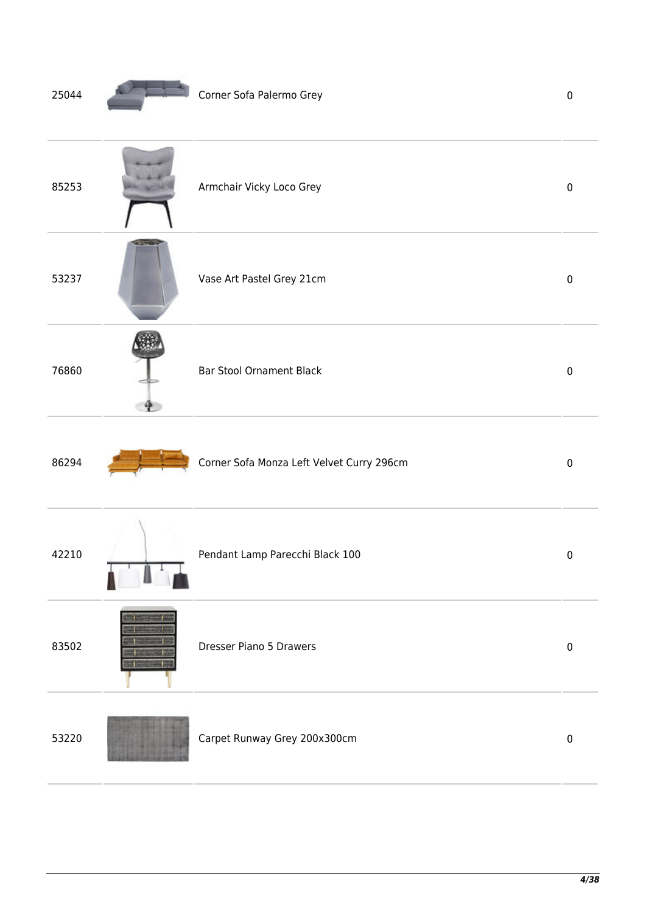| 25044 | Corner Sofa Palermo Grey                  | $\pmb{0}$ |
|-------|-------------------------------------------|-----------|
| 85253 | Armchair Vicky Loco Grey                  | $\pmb{0}$ |
| 53237 | Vase Art Pastel Grey 21cm                 | $\pmb{0}$ |
| 76860 | <b>Bar Stool Ornament Black</b>           | $\pmb{0}$ |
| 86294 | Corner Sofa Monza Left Velvet Curry 296cm | $\pmb{0}$ |
| 42210 | Pendant Lamp Parecchi Black 100           | $\pmb{0}$ |
| 83502 | <b>Dresser Piano 5 Drawers</b>            | $\pmb{0}$ |
| 53220 | Carpet Runway Grey 200x300cm              | $\pmb{0}$ |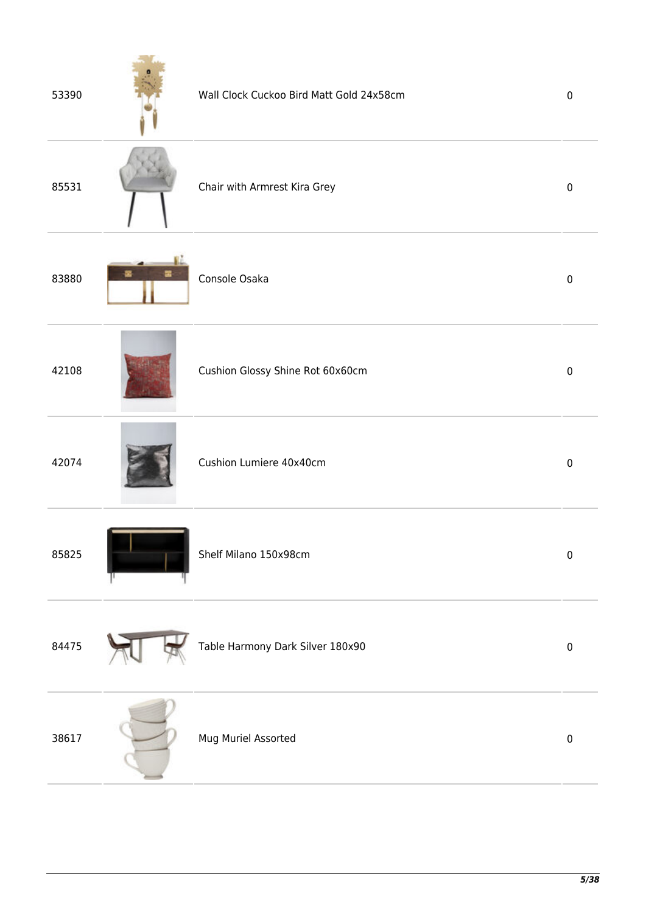| 53390 | Wall Clock Cuckoo Bird Matt Gold 24x58cm | $\pmb{0}$ |
|-------|------------------------------------------|-----------|
| 85531 | Chair with Armrest Kira Grey             | $\pmb{0}$ |
| 83880 | Console Osaka                            | $\pmb{0}$ |
| 42108 | Cushion Glossy Shine Rot 60x60cm         | $\pmb{0}$ |
| 42074 | Cushion Lumiere 40x40cm                  | $\pmb{0}$ |
| 85825 | Shelf Milano 150x98cm                    | $\pmb{0}$ |
| 84475 | Table Harmony Dark Silver 180x90         | $\pmb{0}$ |
| 38617 | Mug Muriel Assorted                      | $\pmb{0}$ |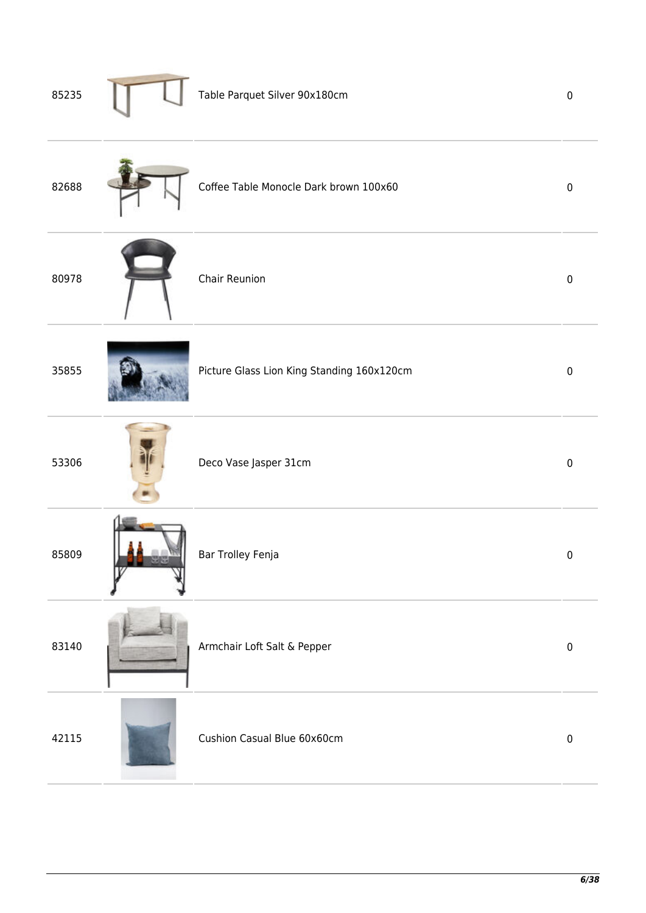| 85235 |    | Table Parquet Silver 90x180cm              | $\pmb{0}$ |
|-------|----|--------------------------------------------|-----------|
| 82688 |    | Coffee Table Monocle Dark brown 100x60     | $\pmb{0}$ |
| 80978 |    | Chair Reunion                              | $\pmb{0}$ |
| 35855 |    | Picture Glass Lion King Standing 160x120cm | $\pmb{0}$ |
| 53306 |    | Deco Vase Jasper 31cm                      | $\pmb{0}$ |
| 85809 | ਅਬ | Bar Trolley Fenja                          | 0         |
| 83140 |    | Armchair Loft Salt & Pepper                | $\pmb{0}$ |
| 42115 |    | Cushion Casual Blue 60x60cm                | $\pmb{0}$ |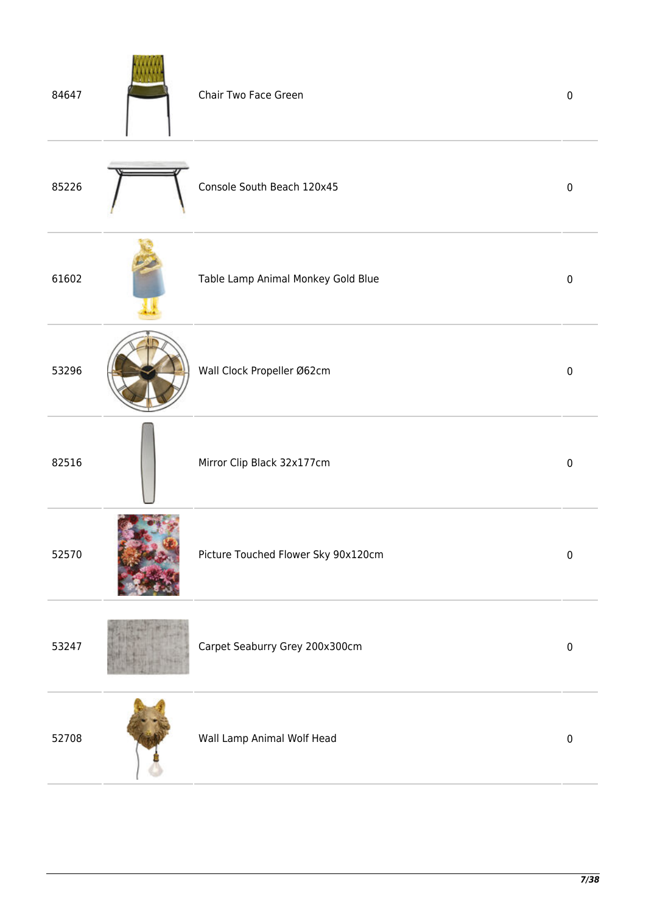| 84647 | Chair Two Face Green                | $\mathbf 0$ |
|-------|-------------------------------------|-------------|
| 85226 | Console South Beach 120x45          | $\mathbf 0$ |
| 61602 | Table Lamp Animal Monkey Gold Blue  | $\pmb{0}$   |
| 53296 | Wall Clock Propeller Ø62cm          | $\pmb{0}$   |
| 82516 | Mirror Clip Black 32x177cm          | $\pmb{0}$   |
| 52570 | Picture Touched Flower Sky 90x120cm | $\pmb{0}$   |
| 53247 | Carpet Seaburry Grey 200x300cm      | $\pmb{0}$   |
| 52708 | Wall Lamp Animal Wolf Head          | $\pmb{0}$   |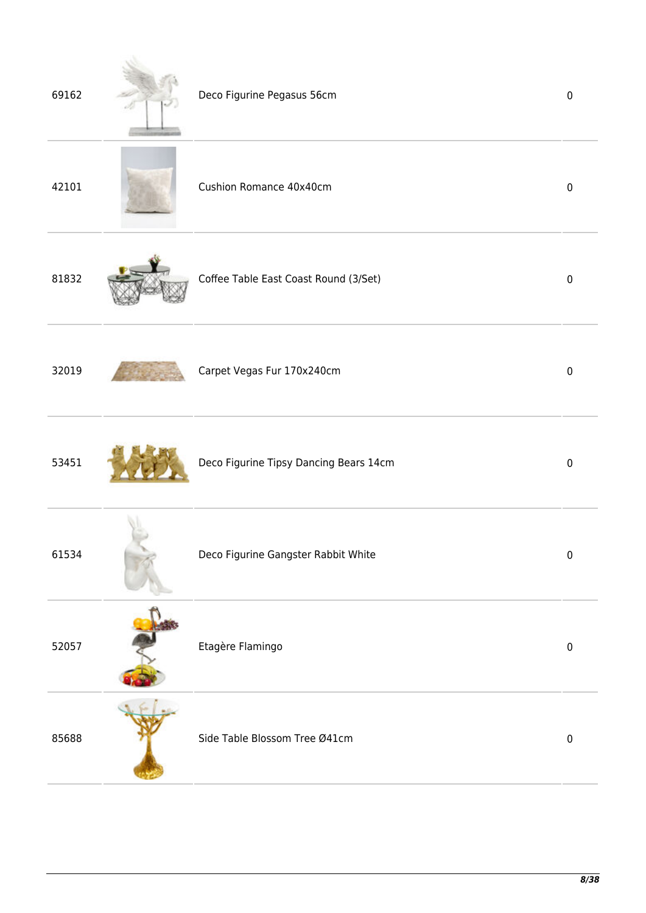| 69162 | Deco Figurine Pegasus 56cm             | $\pmb{0}$ |
|-------|----------------------------------------|-----------|
| 42101 | Cushion Romance 40x40cm                | $\pmb{0}$ |
| 81832 | Coffee Table East Coast Round (3/Set)  | $\pmb{0}$ |
| 32019 | Carpet Vegas Fur 170x240cm             | $\pmb{0}$ |
| 53451 | Deco Figurine Tipsy Dancing Bears 14cm | $\pmb{0}$ |
| 61534 | Deco Figurine Gangster Rabbit White    | $\pmb{0}$ |
| 52057 | Etagère Flamingo                       | $\pmb{0}$ |
| 85688 | Side Table Blossom Tree Ø41cm          | $\pmb{0}$ |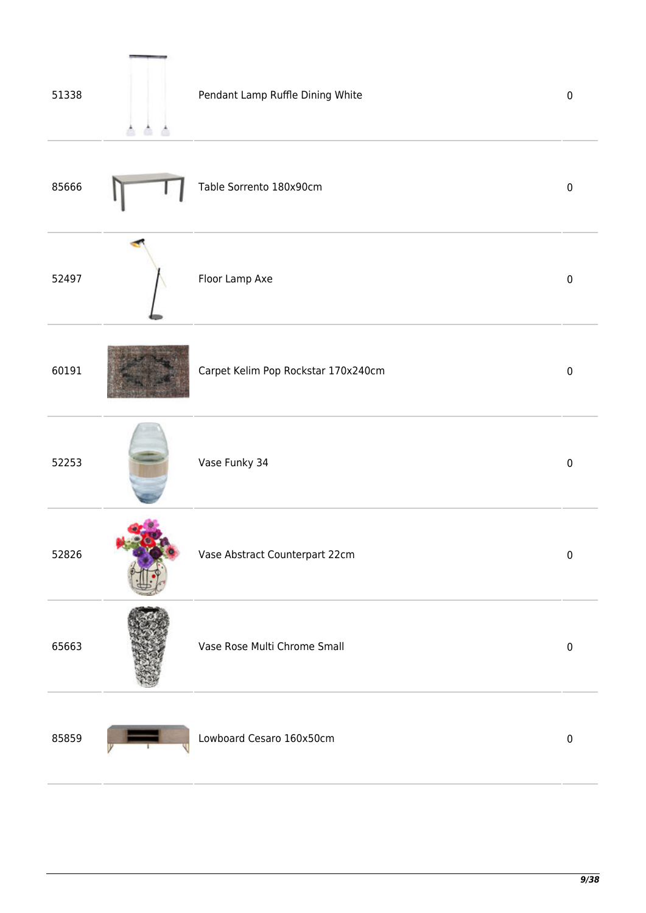| 51338 | Pendant Lamp Ruffle Dining White    | $\pmb{0}$ |
|-------|-------------------------------------|-----------|
| 85666 | Table Sorrento 180x90cm             | $\pmb{0}$ |
| 52497 | Floor Lamp Axe                      | $\pmb{0}$ |
| 60191 | Carpet Kelim Pop Rockstar 170x240cm | $\pmb{0}$ |
| 52253 | Vase Funky 34                       | $\pmb{0}$ |
| 52826 | Vase Abstract Counterpart 22cm      | $\pmb{0}$ |
| 65663 | Vase Rose Multi Chrome Small        | $\pmb{0}$ |
| 85859 | Lowboard Cesaro 160x50cm            | $\pmb{0}$ |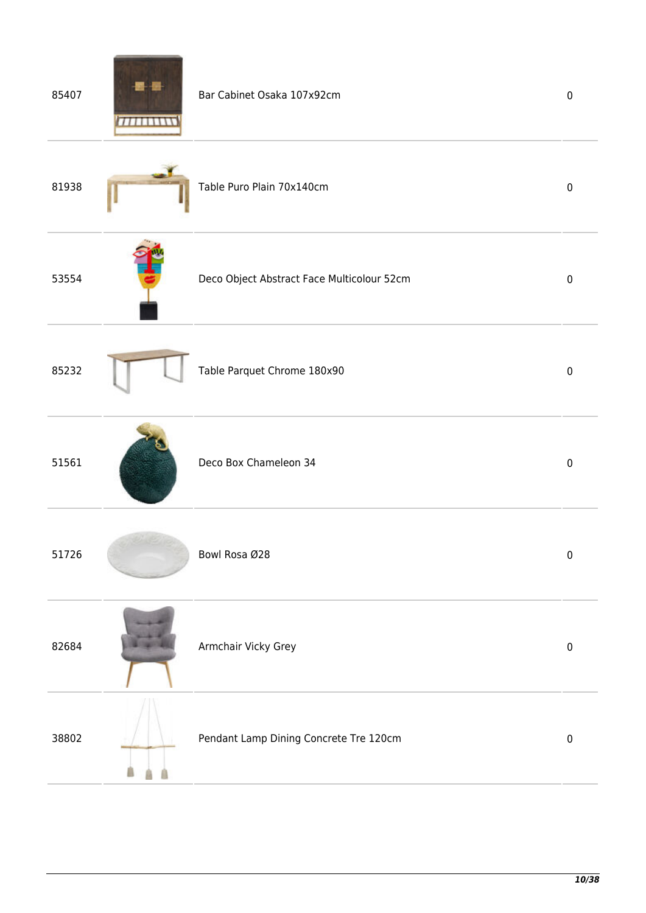| 85407 | $\prod \prod \prod$ | Bar Cabinet Osaka 107x92cm                 | $\pmb{0}$   |
|-------|---------------------|--------------------------------------------|-------------|
| 81938 |                     | Table Puro Plain 70x140cm                  | $\pmb{0}$   |
| 53554 |                     | Deco Object Abstract Face Multicolour 52cm | $\pmb{0}$   |
| 85232 |                     | Table Parquet Chrome 180x90                | $\mathbf 0$ |
| 51561 |                     | Deco Box Chameleon 34                      | $\mathbf 0$ |
| 51726 |                     | Bowl Rosa Ø28                              | $\pmb{0}$   |
| 82684 |                     | Armchair Vicky Grey                        | $\pmb{0}$   |
| 38802 |                     | Pendant Lamp Dining Concrete Tre 120cm     | $\pmb{0}$   |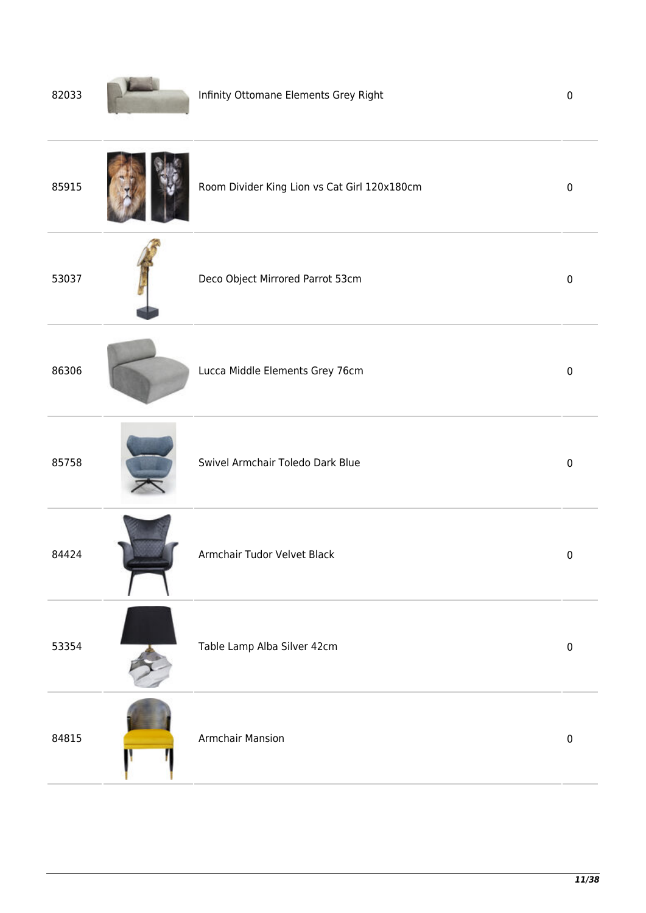| 82033 | Infinity Ottomane Elements Grey Right        | 0         |
|-------|----------------------------------------------|-----------|
| 85915 | Room Divider King Lion vs Cat Girl 120x180cm | $\pmb{0}$ |
| 53037 | Deco Object Mirrored Parrot 53cm             | $\pmb{0}$ |
| 86306 | Lucca Middle Elements Grey 76cm              | $\pmb{0}$ |
| 85758 | Swivel Armchair Toledo Dark Blue             | $\pmb{0}$ |
| 84424 | Armchair Tudor Velvet Black                  | 0         |
| 53354 | Table Lamp Alba Silver 42cm                  | $\pmb{0}$ |
| 84815 | <b>Armchair Mansion</b>                      | $\pmb{0}$ |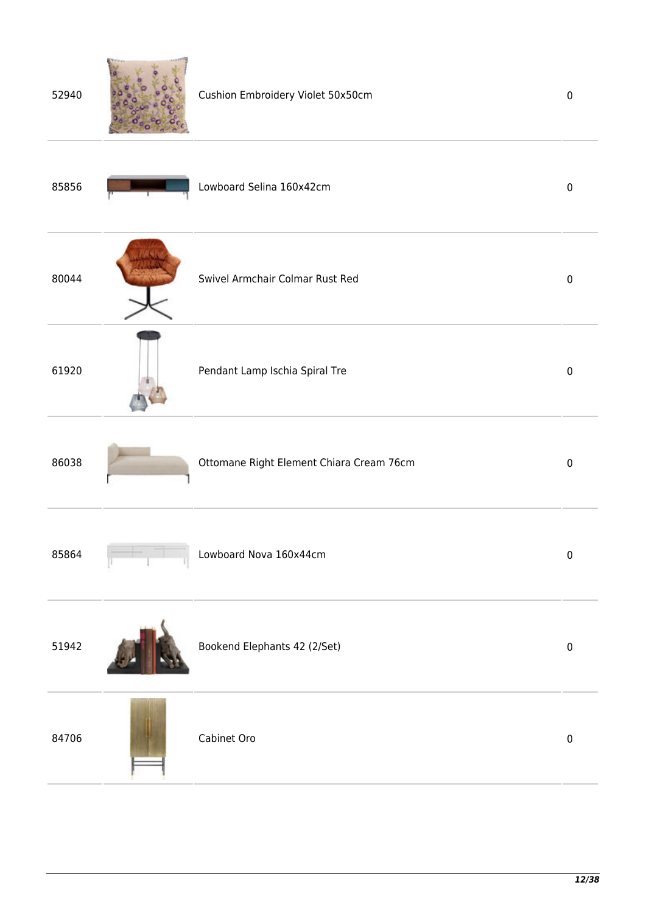| 52940 | Cushion Embroidery Violet 50x50cm        | $\pmb{0}$ |
|-------|------------------------------------------|-----------|
| 85856 | Lowboard Selina 160x42cm                 | $\pmb{0}$ |
| 80044 | Swivel Armchair Colmar Rust Red          | $\pmb{0}$ |
| 61920 | Pendant Lamp Ischia Spiral Tre           | $\pmb{0}$ |
| 86038 | Ottomane Right Element Chiara Cream 76cm | $\pmb{0}$ |
| 85864 | Lowboard Nova 160x44cm                   | $\pmb{0}$ |
| 51942 | Bookend Elephants 42 (2/Set)             | $\pmb{0}$ |
| 84706 | Cabinet Oro                              | $\pmb{0}$ |
|       |                                          |           |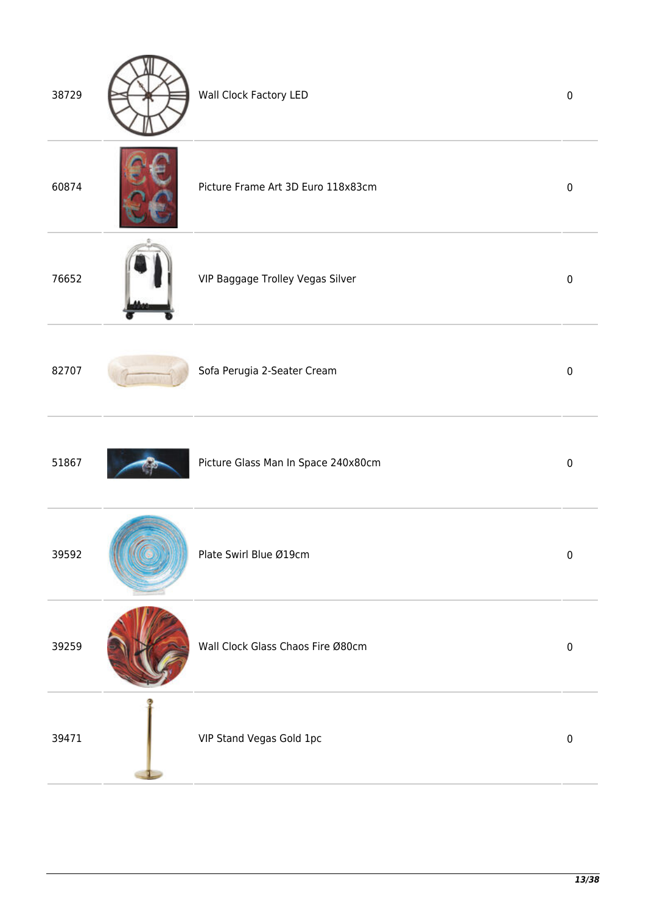| 38729 | Wall Clock Factory LED              | $\mathbf 0$ |
|-------|-------------------------------------|-------------|
| 60874 | Picture Frame Art 3D Euro 118x83cm  | $\mathbf 0$ |
| 76652 | VIP Baggage Trolley Vegas Silver    | $\pmb{0}$   |
| 82707 | Sofa Perugia 2-Seater Cream         | $\pmb{0}$   |
| 51867 | Picture Glass Man In Space 240x80cm | $\pmb{0}$   |
| 39592 | Plate Swirl Blue Ø19cm              | $\pmb{0}$   |
| 39259 | Wall Clock Glass Chaos Fire Ø80cm   | $\pmb{0}$   |
| 39471 | VIP Stand Vegas Gold 1pc            | $\pmb{0}$   |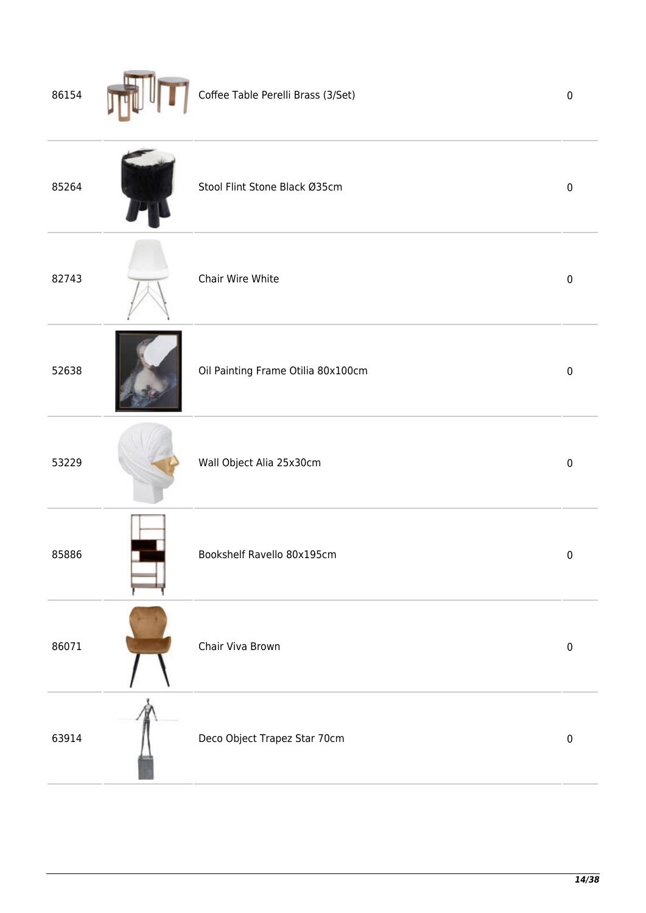| 86154 | Coffee Table Perelli Brass (3/Set) | $\pmb{0}$ |
|-------|------------------------------------|-----------|
| 85264 | Stool Flint Stone Black Ø35cm      | $\pmb{0}$ |
| 82743 | Chair Wire White                   | $\pmb{0}$ |
| 52638 | Oil Painting Frame Otilia 80x100cm | $\pmb{0}$ |
| 53229 | Wall Object Alia 25x30cm           | $\pmb{0}$ |
| 85886 | Bookshelf Ravello 80x195cm         | $\pmb{0}$ |
| 86071 | Chair Viva Brown                   | $\pmb{0}$ |
| 63914 | Deco Object Trapez Star 70cm       | $\pmb{0}$ |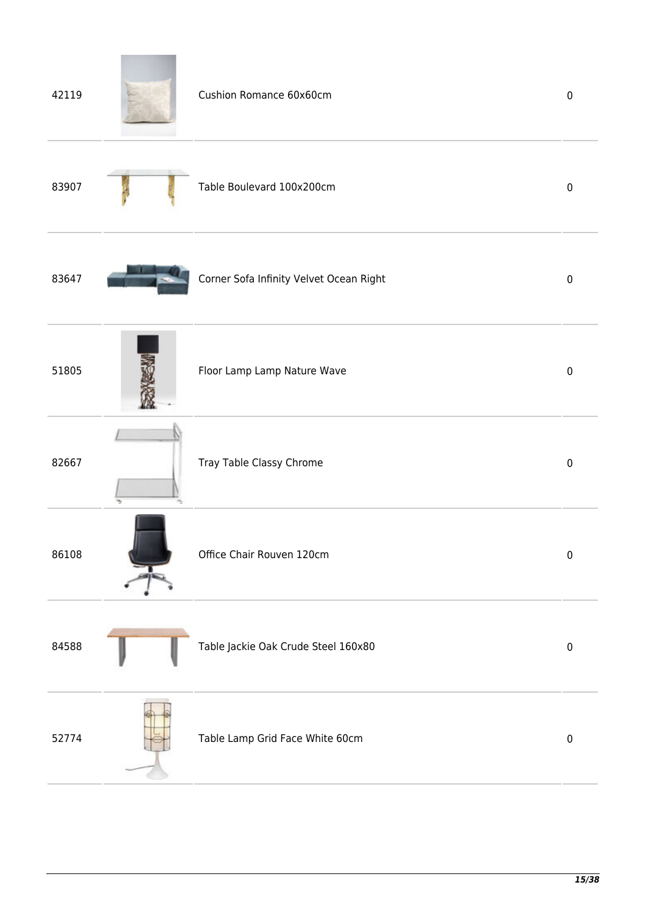| 42119 | Cushion Romance 60x60cm                 | $\pmb{0}$   |
|-------|-----------------------------------------|-------------|
| 83907 | Table Boulevard 100x200cm               | $\pmb{0}$   |
| 83647 | Corner Sofa Infinity Velvet Ocean Right | $\pmb{0}$   |
| 51805 | Floor Lamp Lamp Nature Wave             | $\pmb{0}$   |
| 82667 | Tray Table Classy Chrome                | $\mathbf 0$ |
| 86108 | Office Chair Rouven 120cm               | $\pmb{0}$   |
| 84588 | Table Jackie Oak Crude Steel 160x80     | $\pmb{0}$   |
| 52774 | Table Lamp Grid Face White 60cm         | $\pmb{0}$   |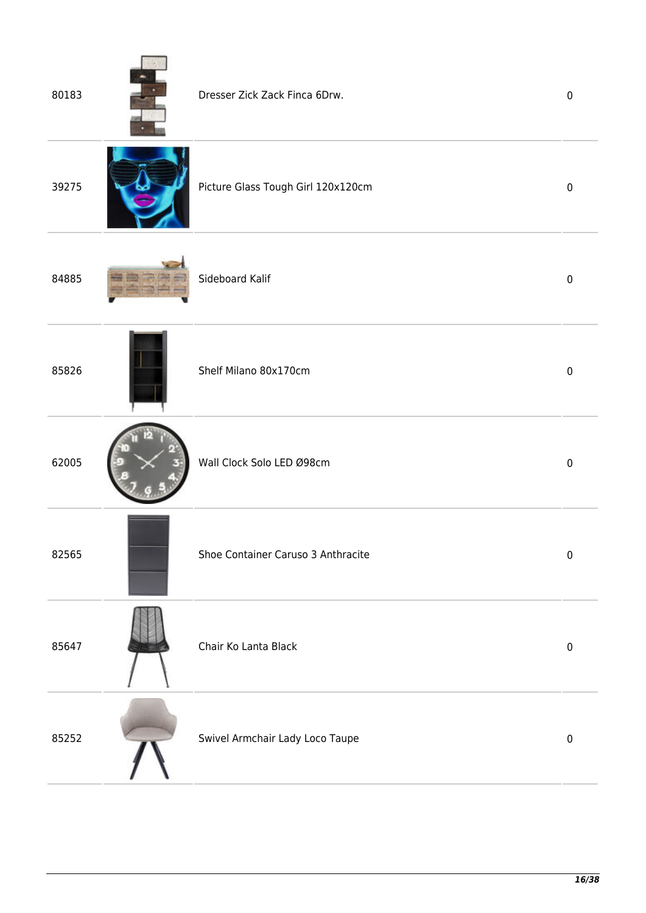| 80183 | Dresser Zick Zack Finca 6Drw.      | $\pmb{0}$ |
|-------|------------------------------------|-----------|
| 39275 | Picture Glass Tough Girl 120x120cm | $\pmb{0}$ |
| 84885 | Sideboard Kalif                    | $\pmb{0}$ |
| 85826 | Shelf Milano 80x170cm              | $\pmb{0}$ |
| 62005 | Wall Clock Solo LED Ø98cm          | $\pmb{0}$ |
| 82565 | Shoe Container Caruso 3 Anthracite | $\pmb{0}$ |
| 85647 | Chair Ko Lanta Black               | $\pmb{0}$ |
| 85252 | Swivel Armchair Lady Loco Taupe    | $\pmb{0}$ |
|       |                                    |           |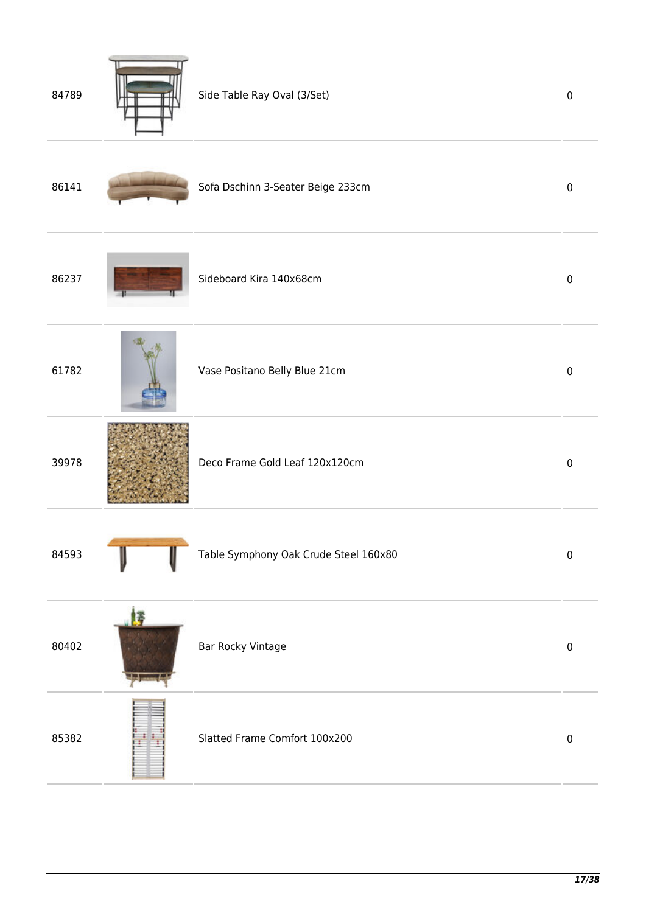| 84789 |   | Side Table Ray Oval (3/Set)           | $\pmb{0}$   |
|-------|---|---------------------------------------|-------------|
| 86141 |   | Sofa Dschinn 3-Seater Beige 233cm     | $\pmb{0}$   |
| 86237 |   | Sideboard Kira 140x68cm               | $\pmb{0}$   |
| 61782 |   | Vase Positano Belly Blue 21cm         | $\pmb{0}$   |
| 39978 |   | Deco Frame Gold Leaf 120x120cm        | $\mathbf 0$ |
| 84593 |   | Table Symphony Oak Crude Steel 160x80 | $\pmb{0}$   |
| 80402 | 澪 | Bar Rocky Vintage                     | $\pmb{0}$   |
| 85382 |   | Slatted Frame Comfort 100x200         | $\pmb{0}$   |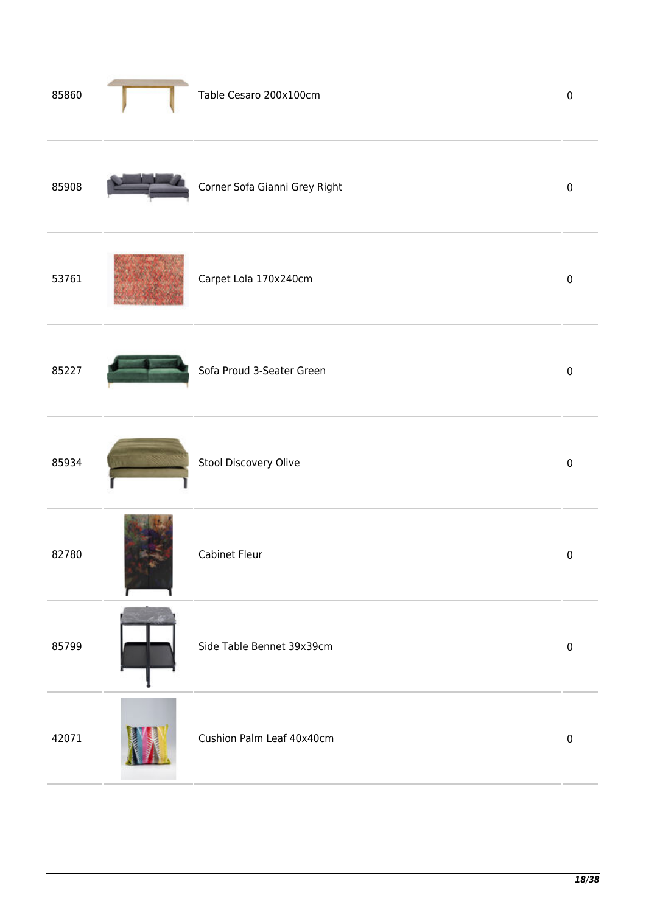| 85860 | Table Cesaro 200x100cm        | $\pmb{0}$   |
|-------|-------------------------------|-------------|
| 85908 | Corner Sofa Gianni Grey Right | $\pmb{0}$   |
| 53761 | Carpet Lola 170x240cm         | $\pmb{0}$   |
| 85227 | Sofa Proud 3-Seater Green     | $\pmb{0}$   |
| 85934 | Stool Discovery Olive         | $\pmb{0}$   |
| 82780 | Cabinet Fleur                 | $\pmb{0}$   |
| 85799 | Side Table Bennet 39x39cm     | $\pmb{0}$   |
| 42071 | Cushion Palm Leaf 40x40cm     | $\mathbf 0$ |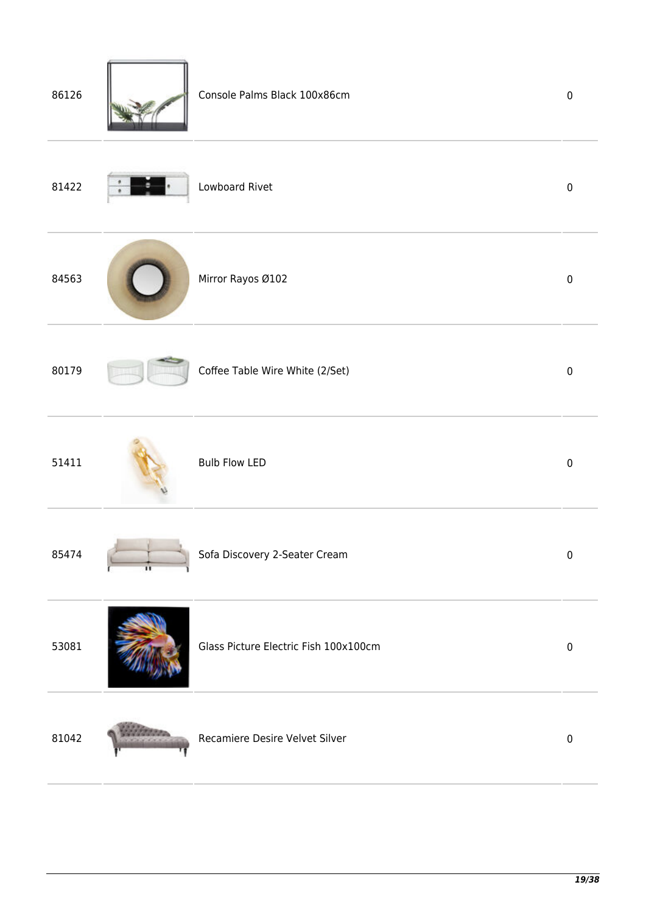| 86126 |           | Console Palms Black 100x86cm          | $\pmb{0}$ |
|-------|-----------|---------------------------------------|-----------|
| 81422 | $\bullet$ | Lowboard Rivet                        | $\pmb{0}$ |
| 84563 |           | Mirror Rayos Ø102                     | $\pmb{0}$ |
| 80179 |           | Coffee Table Wire White (2/Set)       | $\pmb{0}$ |
| 51411 |           | <b>Bulb Flow LED</b>                  | $\pmb{0}$ |
| 85474 |           | Sofa Discovery 2-Seater Cream         | $\pmb{0}$ |
| 53081 |           | Glass Picture Electric Fish 100x100cm | $\pmb{0}$ |
| 81042 |           | Recamiere Desire Velvet Silver        | $\pmb{0}$ |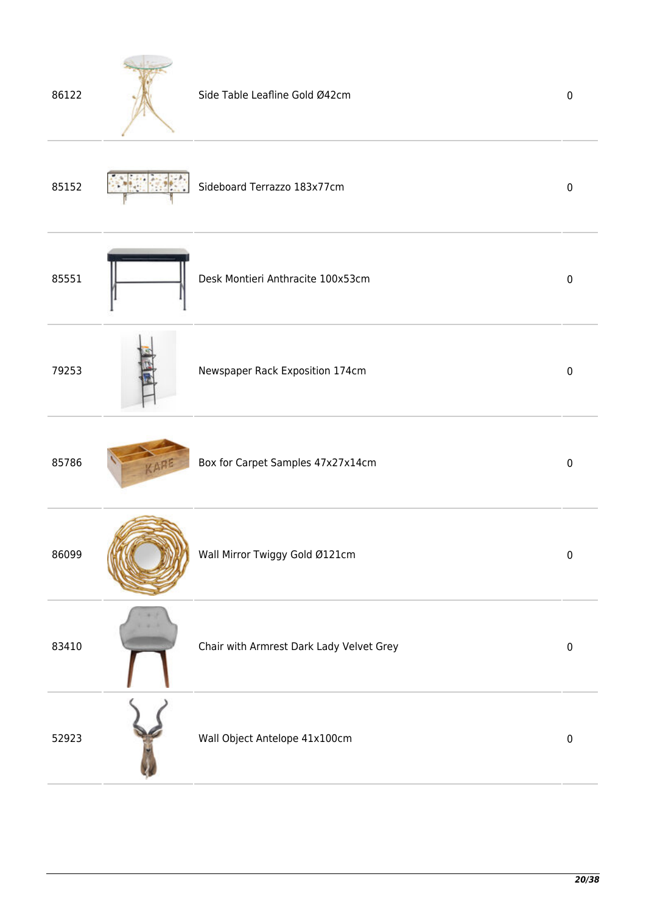| 86122 | Side Table Leafline Gold Ø42cm           | $\pmb{0}$   |
|-------|------------------------------------------|-------------|
| 85152 | Sideboard Terrazzo 183x77cm              | $\mathbf 0$ |
| 85551 | Desk Montieri Anthracite 100x53cm        | $\mathbf 0$ |
| 79253 | Newspaper Rack Exposition 174cm          | $\mathbf 0$ |
| 85786 | Box for Carpet Samples 47x27x14cm        | $\mathbf 0$ |
| 86099 | Wall Mirror Twiggy Gold Ø121cm           | $\pmb{0}$   |
| 83410 | Chair with Armrest Dark Lady Velvet Grey | $\pmb{0}$   |
| 52923 | Wall Object Antelope 41x100cm            | $\pmb{0}$   |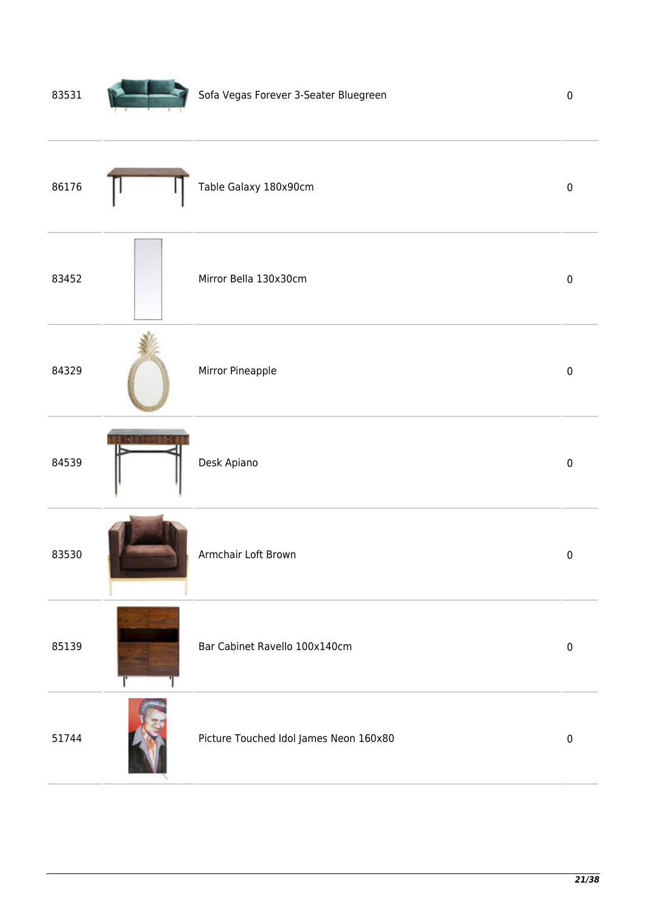| 83531 | Sofa Vegas Forever 3-Seater Bluegreen  | $\pmb{0}$    |
|-------|----------------------------------------|--------------|
| 86176 | Table Galaxy 180x90cm                  | $\pmb{0}$    |
| 83452 | Mirror Bella 130x30cm                  | $\pmb{0}$    |
| 84329 | Mirror Pineapple                       | $\pmb{0}$    |
| 84539 | Desk Apiano                            | $\pmb{0}$    |
| 83530 | Armchair Loft Brown                    | $\pmb{0}$    |
| 85139 | Bar Cabinet Ravello 100x140cm          | $\mathbf 0$  |
| 51744 | Picture Touched Idol James Neon 160x80 | $\mathbf{0}$ |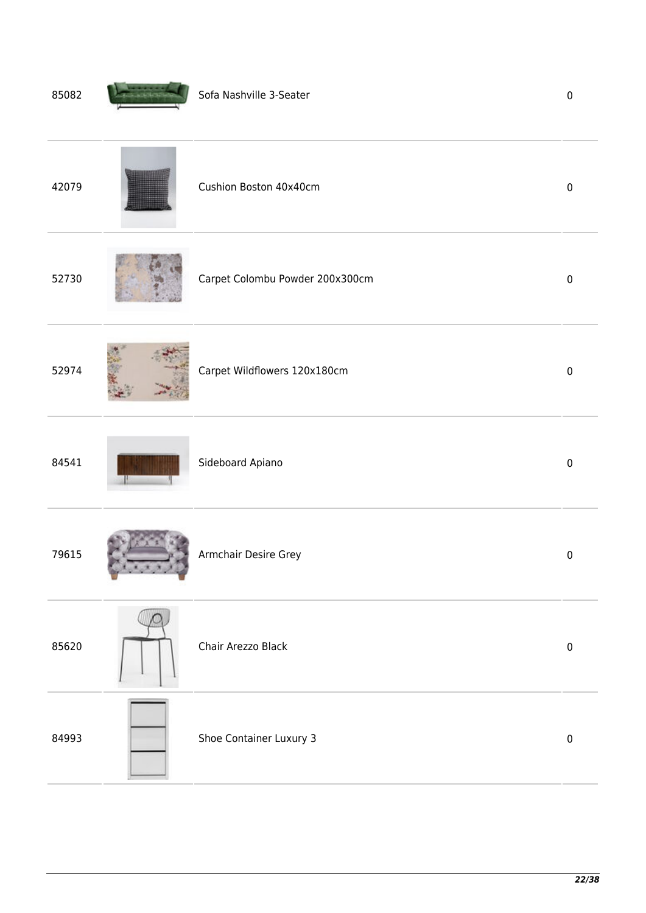| 85082 | Sofa Nashville 3-Seater         | $\pmb{0}$ |
|-------|---------------------------------|-----------|
| 42079 | Cushion Boston 40x40cm          | $\pmb{0}$ |
| 52730 | Carpet Colombu Powder 200x300cm | $\pmb{0}$ |
| 52974 | Carpet Wildflowers 120x180cm    | $\pmb{0}$ |
| 84541 | Sideboard Apiano                | $\pmb{0}$ |
| 79615 | Armchair Desire Grey            | $\pmb{0}$ |
| 85620 | Chair Arezzo Black              | $\pmb{0}$ |
| 84993 | Shoe Container Luxury 3         | $\pmb{0}$ |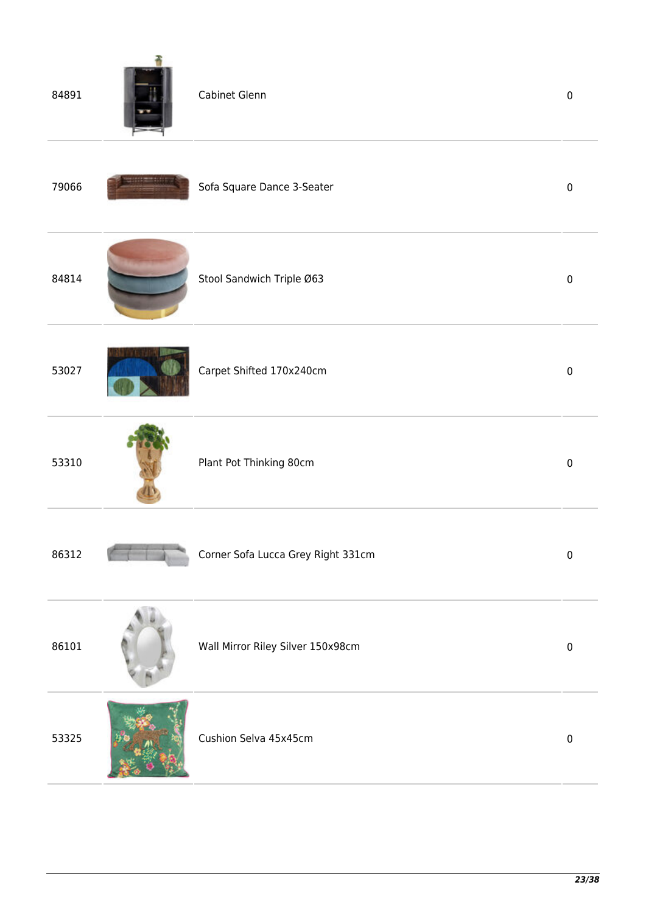| 84891 | Cabinet Glenn                      | $\pmb{0}$ |
|-------|------------------------------------|-----------|
| 79066 | Sofa Square Dance 3-Seater         | $\pmb{0}$ |
| 84814 | Stool Sandwich Triple Ø63          | $\pmb{0}$ |
| 53027 | Carpet Shifted 170x240cm           | $\pmb{0}$ |
| 53310 | Plant Pot Thinking 80cm            | $\pmb{0}$ |
| 86312 | Corner Sofa Lucca Grey Right 331cm | $\pmb{0}$ |
| 86101 | Wall Mirror Riley Silver 150x98cm  | $\pmb{0}$ |
| 53325 | Cushion Selva 45x45cm              | $\pmb{0}$ |
|       |                                    |           |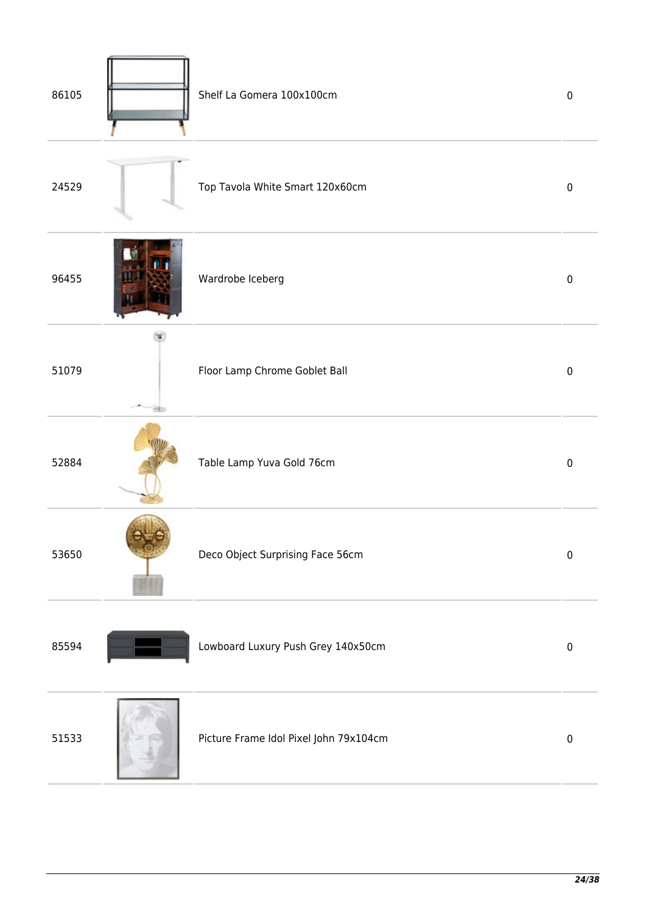| 86105 | Shelf La Gomera 100x100cm              | $\pmb{0}$   |
|-------|----------------------------------------|-------------|
| 24529 | Top Tavola White Smart 120x60cm        | $\pmb{0}$   |
| 96455 | Wardrobe Iceberg                       | $\mathbf 0$ |
| 51079 | Floor Lamp Chrome Goblet Ball          | $\pmb{0}$   |
| 52884 | Table Lamp Yuva Gold 76cm              | $\pmb{0}$   |
| 53650 | Deco Object Surprising Face 56cm       | $\pmb{0}$   |
| 85594 | Lowboard Luxury Push Grey 140x50cm     | $\pmb{0}$   |
| 51533 | Picture Frame Idol Pixel John 79x104cm | $\pmb{0}$   |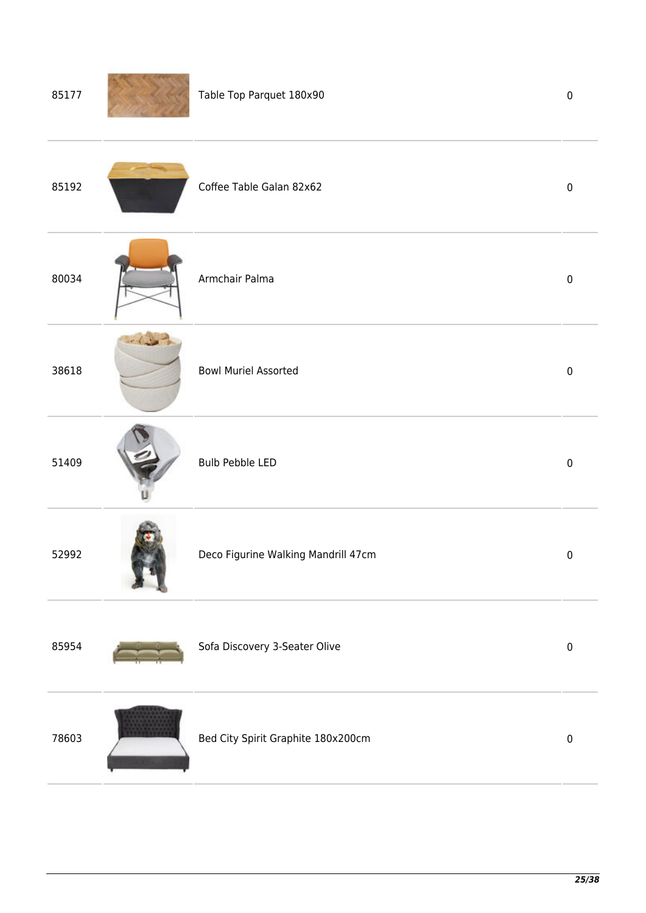| 85177 |       | Table Top Parquet 180x90            | $\pmb{0}$   |
|-------|-------|-------------------------------------|-------------|
| 85192 |       | Coffee Table Galan 82x62            | $\pmb{0}$   |
| 80034 |       | Armchair Palma                      | $\pmb{0}$   |
| 38618 | $-11$ | <b>Bowl Muriel Assorted</b>         | $\pmb{0}$   |
| 51409 |       | <b>Bulb Pebble LED</b>              | $\pmb{0}$   |
| 52992 |       | Deco Figurine Walking Mandrill 47cm | $\pmb{0}$   |
| 85954 |       | Sofa Discovery 3-Seater Olive       | $\pmb{0}$   |
| 78603 |       | Bed City Spirit Graphite 180x200cm  | $\mathbf 0$ |
|       |       |                                     |             |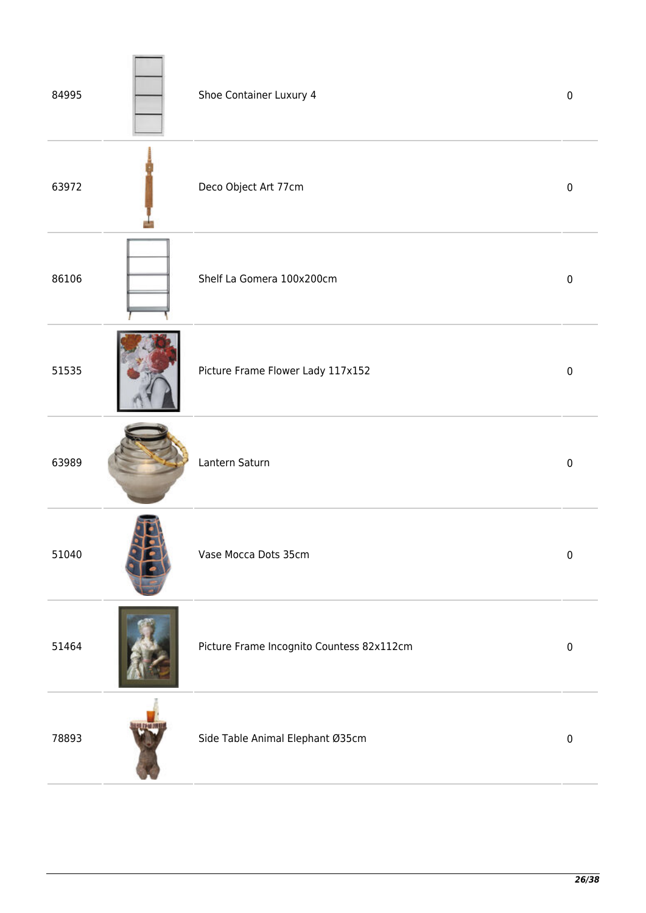| 84995 | Shoe Container Luxury 4                   | $\mathbf 0$ |
|-------|-------------------------------------------|-------------|
| 63972 | Deco Object Art 77cm                      | $\pmb{0}$   |
| 86106 | Shelf La Gomera 100x200cm                 | $\pmb{0}$   |
| 51535 | Picture Frame Flower Lady 117x152         | $\pmb{0}$   |
| 63989 | Lantern Saturn                            | $\pmb{0}$   |
| 51040 | Vase Mocca Dots 35cm                      | $\pmb{0}$   |
| 51464 | Picture Frame Incognito Countess 82x112cm | $\pmb{0}$   |
| 78893 | Side Table Animal Elephant Ø35cm          | $\pmb{0}$   |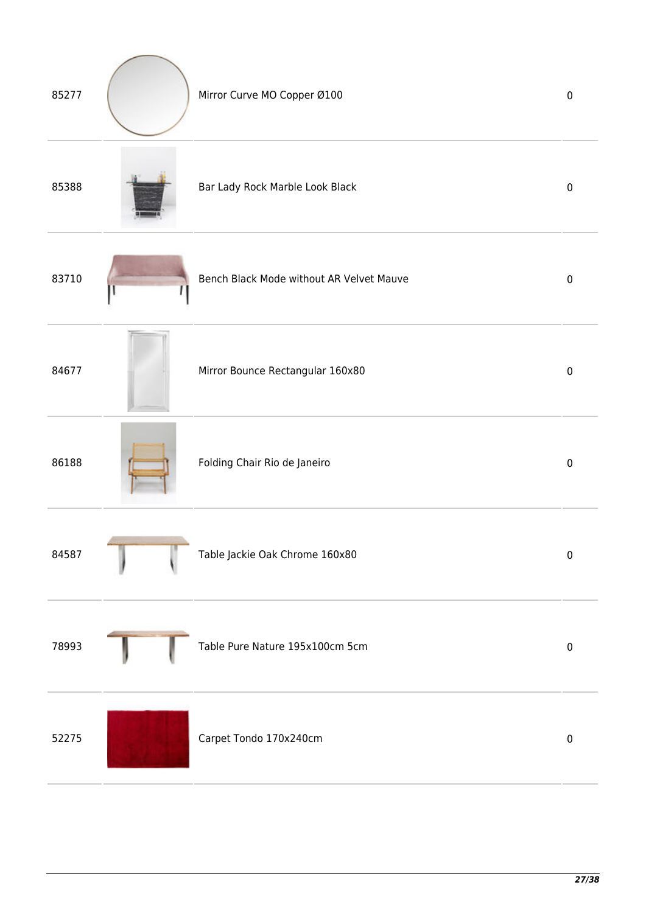| 85277 | Mirror Curve MO Copper Ø100              | $\pmb{0}$ |
|-------|------------------------------------------|-----------|
| 85388 | Bar Lady Rock Marble Look Black          | $\pmb{0}$ |
| 83710 | Bench Black Mode without AR Velvet Mauve | $\pmb{0}$ |
| 84677 | Mirror Bounce Rectangular 160x80         | $\pmb{0}$ |
| 86188 | Folding Chair Rio de Janeiro             | $\pmb{0}$ |
| 84587 | Table Jackie Oak Chrome 160x80           | $\pmb{0}$ |
| 78993 | Table Pure Nature 195x100cm 5cm          | $\pmb{0}$ |
| 52275 | Carpet Tondo 170x240cm                   | $\pmb{0}$ |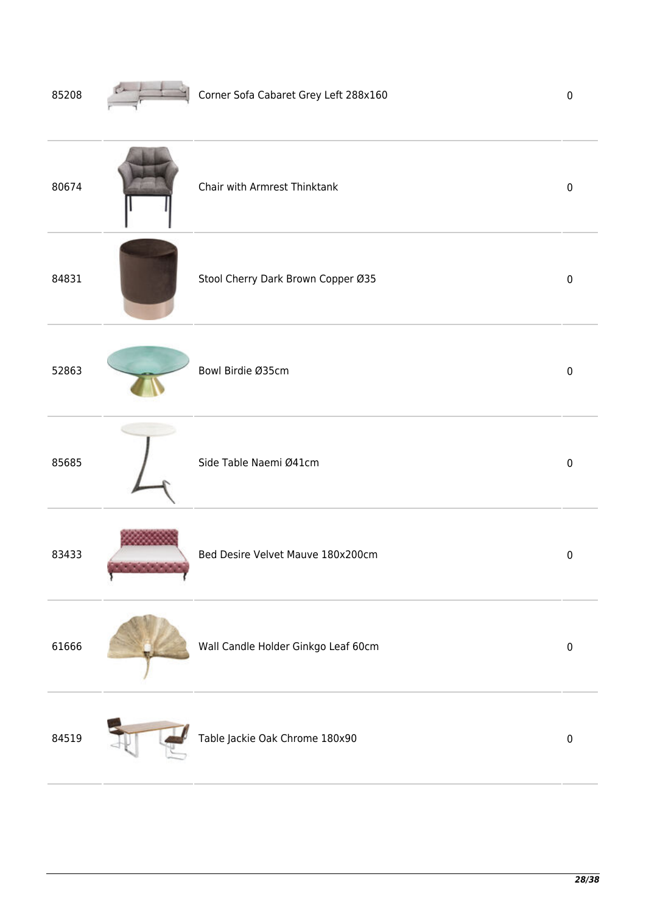| 85208 | Corner Sofa Cabaret Grey Left 288x160 | $\pmb{0}$   |
|-------|---------------------------------------|-------------|
| 80674 | Chair with Armrest Thinktank          | $\pmb{0}$   |
| 84831 | Stool Cherry Dark Brown Copper Ø35    | $\pmb{0}$   |
| 52863 | Bowl Birdie Ø35cm                     | $\pmb{0}$   |
| 85685 | Side Table Naemi Ø41cm                | $\pmb{0}$   |
| 83433 | Bed Desire Velvet Mauve 180x200cm     | $\pmb{0}$   |
| 61666 | Wall Candle Holder Ginkgo Leaf 60cm   | $\pmb{0}$   |
| 84519 | Table Jackie Oak Chrome 180x90        | $\mathbf 0$ |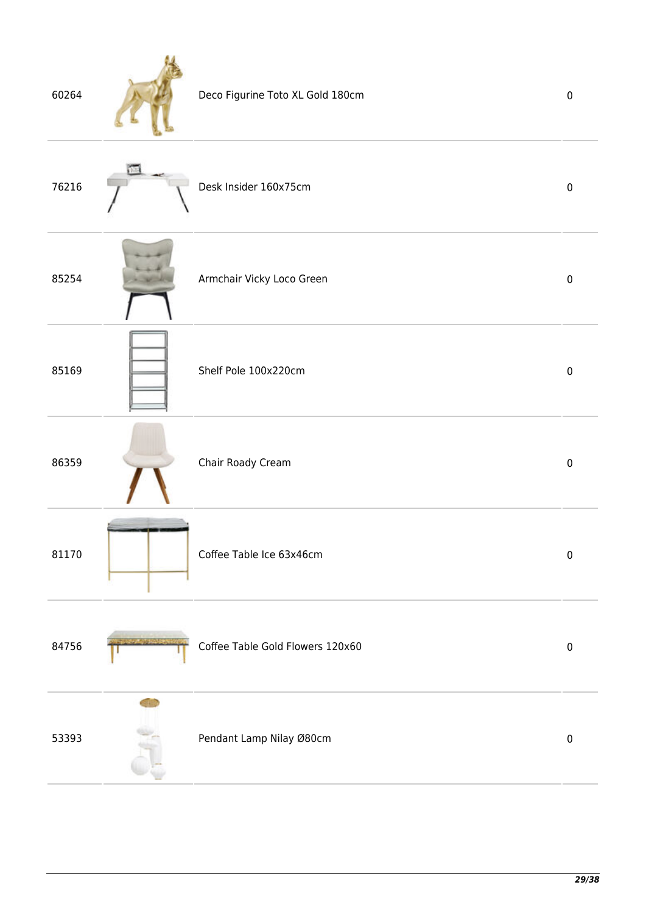| 60264 | Deco Figurine Toto XL Gold 180cm | $\pmb{0}$ |
|-------|----------------------------------|-----------|
| 76216 | Desk Insider 160x75cm            | $\pmb{0}$ |
| 85254 | Armchair Vicky Loco Green        | $\pmb{0}$ |
| 85169 | Shelf Pole 100x220cm             | $\pmb{0}$ |
| 86359 | Chair Roady Cream                | $\pmb{0}$ |
| 81170 | Coffee Table Ice 63x46cm         | $\pmb{0}$ |
| 84756 | Coffee Table Gold Flowers 120x60 | $\pmb{0}$ |
| 53393 | Pendant Lamp Nilay Ø80cm         | $\pmb{0}$ |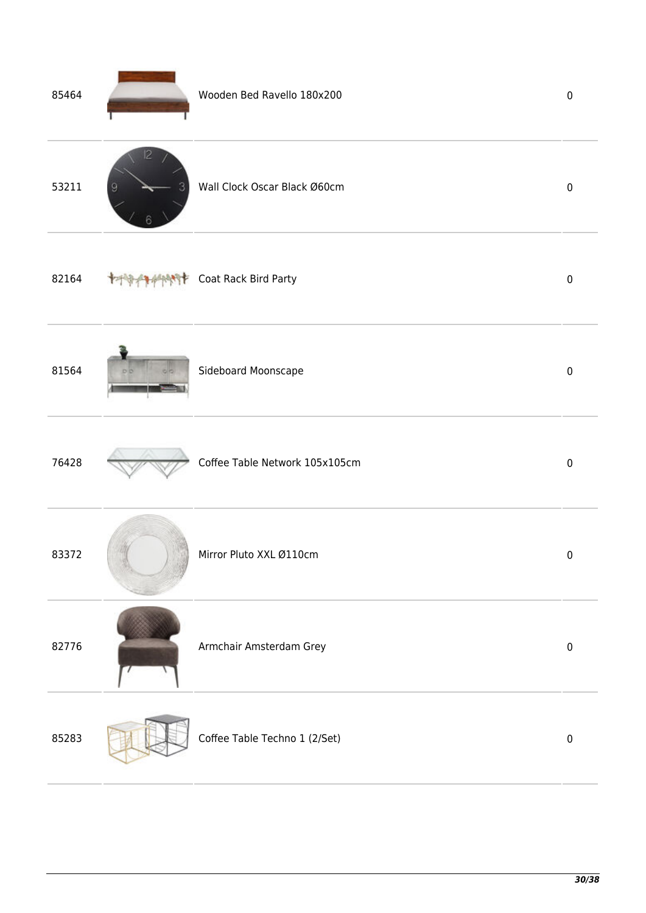| 85464 |   | Wooden Bed Ravello 180x200     | $\pmb{0}$   |
|-------|---|--------------------------------|-------------|
| 53211 | 9 | Wall Clock Oscar Black Ø60cm   | $\pmb{0}$   |
| 82164 |   | Coat Rack Bird Party           | $\pmb{0}$   |
| 81564 |   | Sideboard Moonscape            | $\pmb{0}$   |
| 76428 |   | Coffee Table Network 105x105cm | $\pmb{0}$   |
| 83372 |   | Mirror Pluto XXL Ø110cm        | $\mathbf 0$ |
| 82776 |   | Armchair Amsterdam Grey        | $\pmb{0}$   |
| 85283 |   | Coffee Table Techno 1 (2/Set)  | $\pmb{0}$   |
|       |   |                                |             |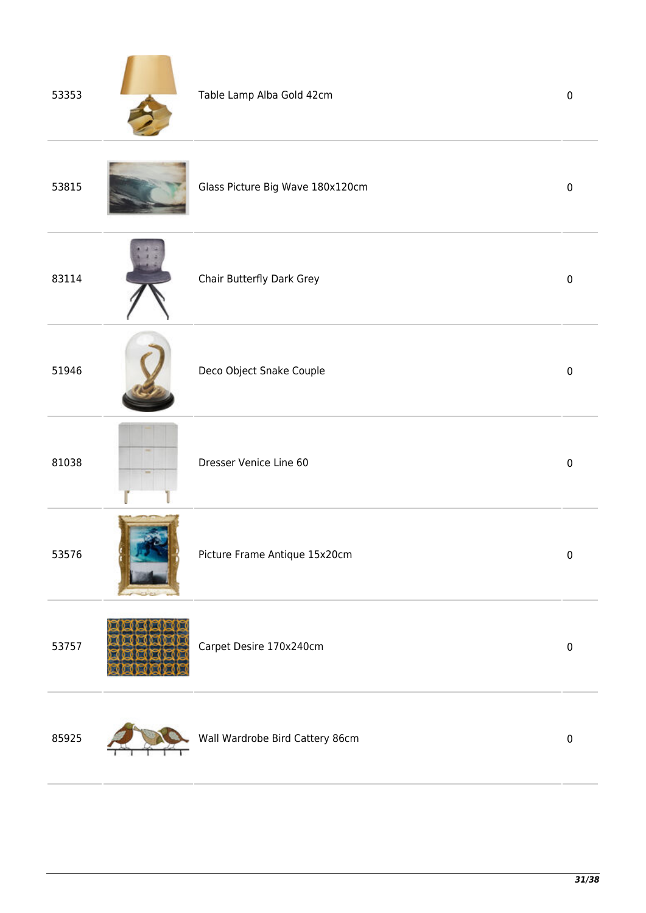| 53353 | Table Lamp Alba Gold 42cm        | $\pmb{0}$ |
|-------|----------------------------------|-----------|
| 53815 | Glass Picture Big Wave 180x120cm | $\pmb{0}$ |
| 83114 | Chair Butterfly Dark Grey        | $\pmb{0}$ |
| 51946 | Deco Object Snake Couple         | $\pmb{0}$ |
| 81038 | Dresser Venice Line 60           | $\pmb{0}$ |
| 53576 | Picture Frame Antique 15x20cm    | $\pmb{0}$ |
| 53757 | Carpet Desire 170x240cm          | $\pmb{0}$ |
| 85925 | Wall Wardrobe Bird Cattery 86cm  | $\pmb{0}$ |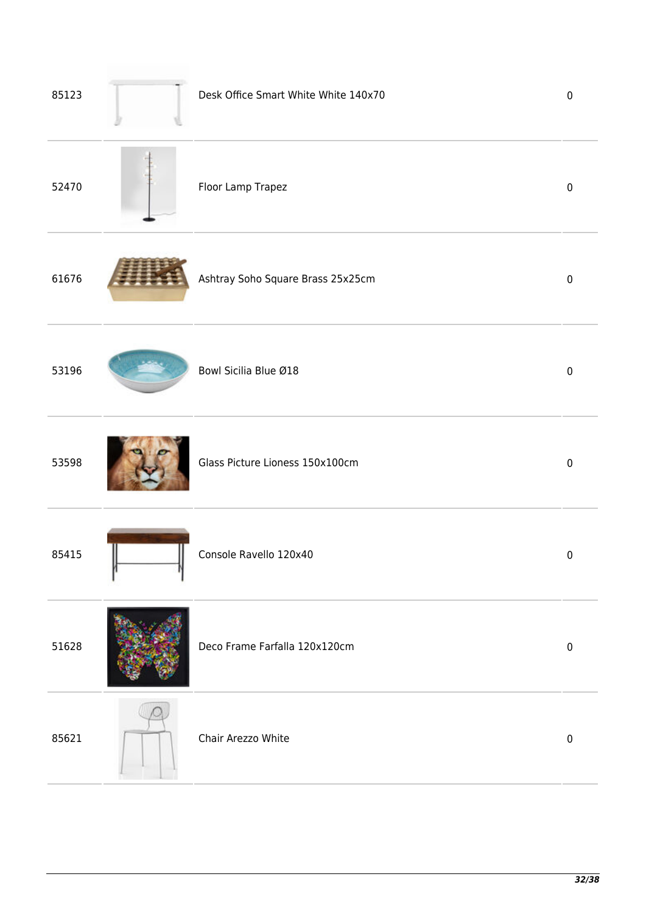| 85123 | Desk Office Smart White White 140x70 | $\pmb{0}$   |
|-------|--------------------------------------|-------------|
| 52470 | Floor Lamp Trapez                    | $\pmb{0}$   |
| 61676 | Ashtray Soho Square Brass 25x25cm    | $\pmb{0}$   |
| 53196 | Bowl Sicilia Blue Ø18                | $\pmb{0}$   |
| 53598 | Glass Picture Lioness 150x100cm      | $\pmb{0}$   |
| 85415 | Console Ravello 120x40               | $\pmb{0}$   |
| 51628 | Deco Frame Farfalla 120x120cm        | $\mathbf 0$ |
| 85621 | Chair Arezzo White                   | $\mathbf 0$ |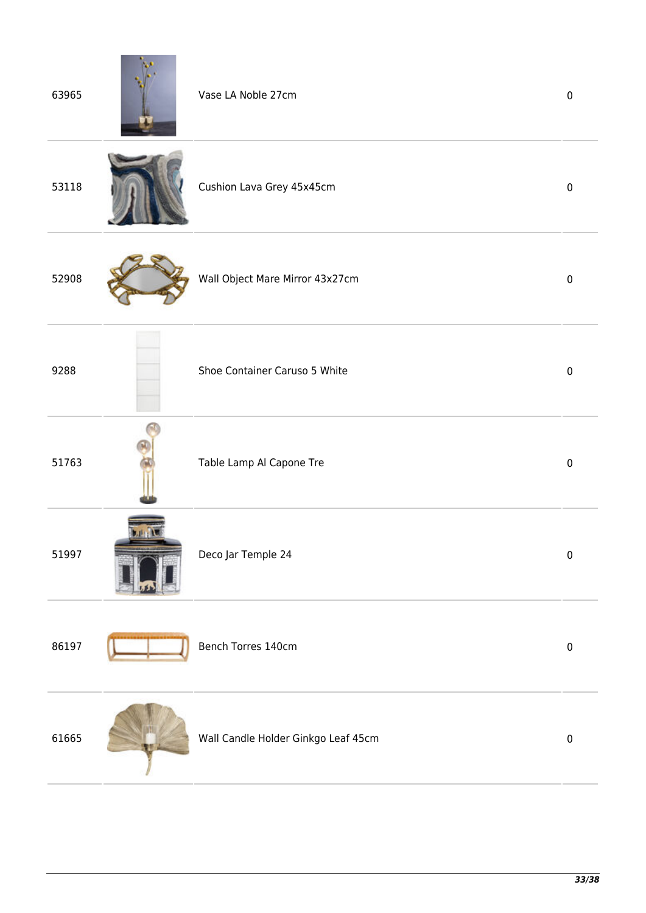| Vase LA Noble 27cm                  | $\pmb{0}$   |
|-------------------------------------|-------------|
| Cushion Lava Grey 45x45cm           | $\pmb{0}$   |
| Wall Object Mare Mirror 43x27cm     | $\pmb{0}$   |
| Shoe Container Caruso 5 White       | $\mathbf 0$ |
| Table Lamp Al Capone Tre            | $\mathbf 0$ |
| Deco Jar Temple 24                  | $\pmb{0}$   |
| Bench Torres 140cm                  | $\pmb{0}$   |
| Wall Candle Holder Ginkgo Leaf 45cm | $\pmb{0}$   |
|                                     |             |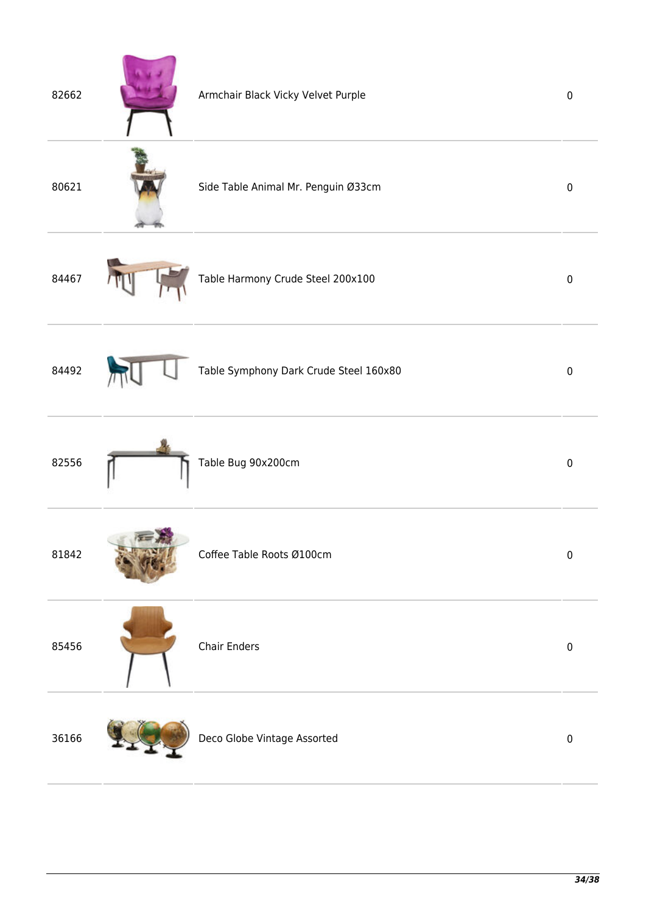| 82662 |            | Armchair Black Vicky Velvet Purple     | $\pmb{0}$ |
|-------|------------|----------------------------------------|-----------|
| 80621 |            | Side Table Animal Mr. Penguin Ø33cm    | $\pmb{0}$ |
| 84467 |            | Table Harmony Crude Steel 200x100      | $\pmb{0}$ |
| 84492 |            | Table Symphony Dark Crude Steel 160x80 | $\pmb{0}$ |
| 82556 |            | Table Bug 90x200cm                     | $\pmb{0}$ |
| 81842 | 运<br>$-15$ | Coffee Table Roots Ø100cm              | $\pmb{0}$ |
| 85456 |            | Chair Enders                           | $\pmb{0}$ |
| 36166 |            | Deco Globe Vintage Assorted            | $\pmb{0}$ |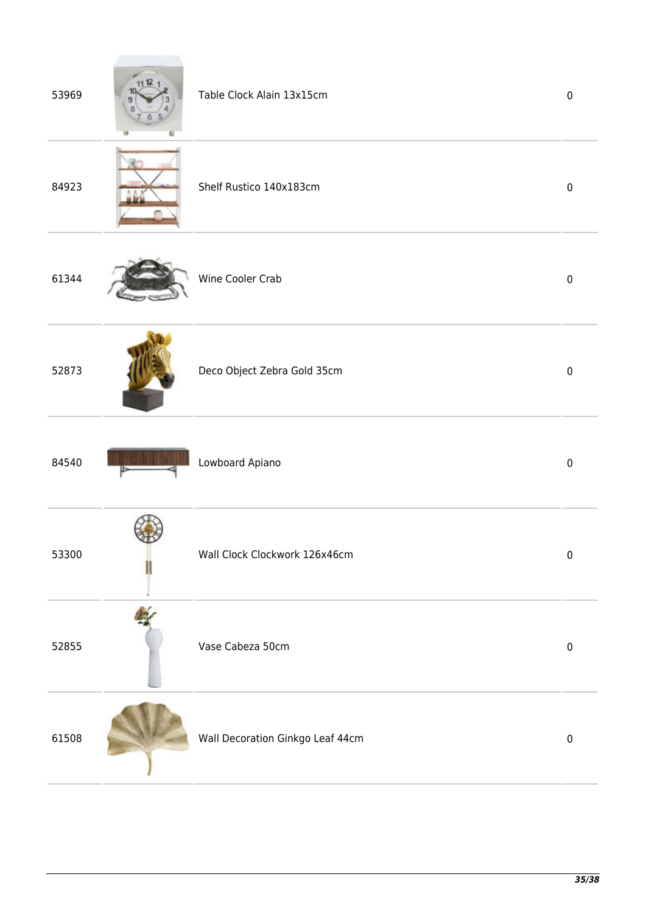| 53969 | Table Clock Alain 13x15cm        | $\pmb{0}$ |
|-------|----------------------------------|-----------|
| 84923 | Shelf Rustico 140x183cm          | $\pmb{0}$ |
| 61344 | Wine Cooler Crab                 | $\pmb{0}$ |
| 52873 | Deco Object Zebra Gold 35cm      | $\pmb{0}$ |
| 84540 | Lowboard Apiano                  | $\pmb{0}$ |
| 53300 | Wall Clock Clockwork 126x46cm    | $\pmb{0}$ |
| 52855 | Vase Cabeza 50cm                 | $\pmb{0}$ |
| 61508 | Wall Decoration Ginkgo Leaf 44cm | $\pmb{0}$ |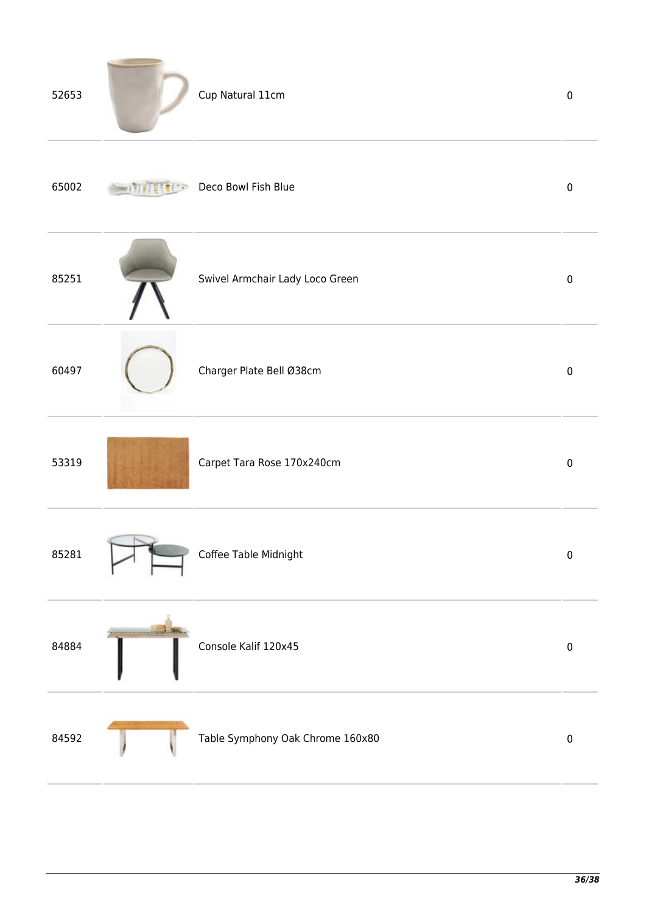| 52653 |    | Cup Natural 11cm                 | $\pmb{0}$ |
|-------|----|----------------------------------|-----------|
| 65002 |    | Deco Bowl Fish Blue              | $\pmb{0}$ |
| 85251 |    | Swivel Armchair Lady Loco Green  | $\pmb{0}$ |
| 60497 |    | Charger Plate Bell Ø38cm         | $\pmb{0}$ |
| 53319 |    | Carpet Tara Rose 170x240cm       | $\pmb{0}$ |
| 85281 |    | Coffee Table Midnight            | $\pmb{0}$ |
| 84884 | 55 | Console Kalif 120x45             | $\pmb{0}$ |
| 84592 |    | Table Symphony Oak Chrome 160x80 | $\pmb{0}$ |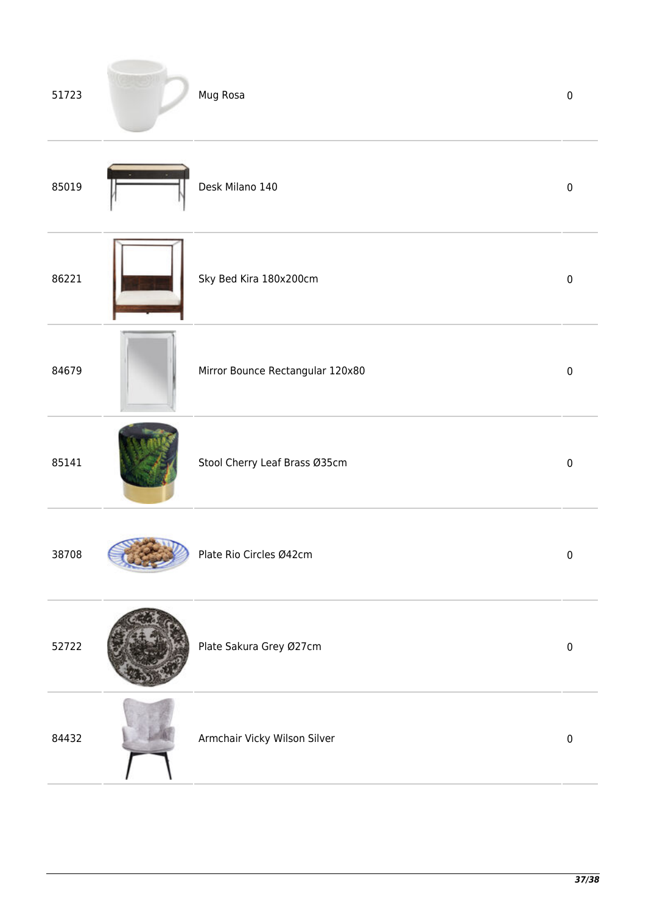| 51723 | Mug Rosa                         | $\pmb{0}$ |
|-------|----------------------------------|-----------|
| 85019 | Desk Milano 140                  | $\pmb{0}$ |
| 86221 | Sky Bed Kira 180x200cm           | $\pmb{0}$ |
| 84679 | Mirror Bounce Rectangular 120x80 | $\pmb{0}$ |
| 85141 | Stool Cherry Leaf Brass Ø35cm    | $\pmb{0}$ |
| 38708 | Plate Rio Circles Ø42cm          | $\pmb{0}$ |
| 52722 | Plate Sakura Grey Ø27cm          | $\pmb{0}$ |
| 84432 | Armchair Vicky Wilson Silver     | $\pmb{0}$ |